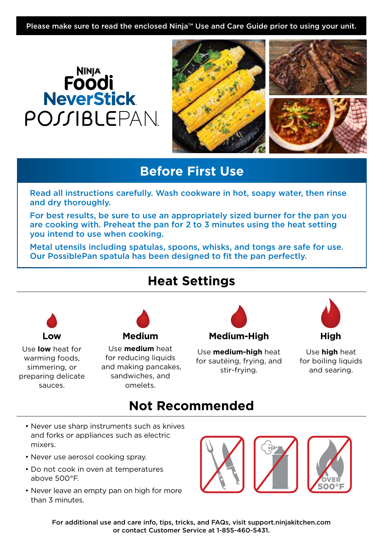Please make sure to read the enclosed Ninja™ Use and Care Guide prior to using your unit.

# **NINJA**<br>**Foodi**<br>NeverStick POSSIBLEPAN



## **Before First Use**

Read all instructions carefully. Wash cookware in hot, soapy water, then rinse and dry thoroughly.

For best results, be sure to use an appropriately sized burner for the pan you are cooking with. Preheat the pan for 2 to 3 minutes using the heat setting you intend to use when cooking.

Metal utensils including spatulas, spoons, whisks, and tongs are safe for use. Our PossiblePan spatula has been designed to fit the pan perfectly.

## **Heat Settings**



Use **low** heat for warming foods, simmering, or preparing delicate sauces.



Use **medium** heat for reducing liquids and making pancakes, sandwiches, and omelets.



Use **medium-high** heat for sautéing, frying, and stir-frying.



Use **high** heat for boiling liquids and searing.

## **Not Recommended Not**

- Never use sharp instruments such as knives and forks or appliances such as electric mixers.
- Never use aerosol cooking spray.
- Do not cook in oven at temperatures above 500°F.
- Never leave an empty pan on high for more than 3 minutes.



For additional use and care info, tips, tricks, and FAQs, visit support.ninjakitchen.com or contact Customer Service at 1-855-460-5431.